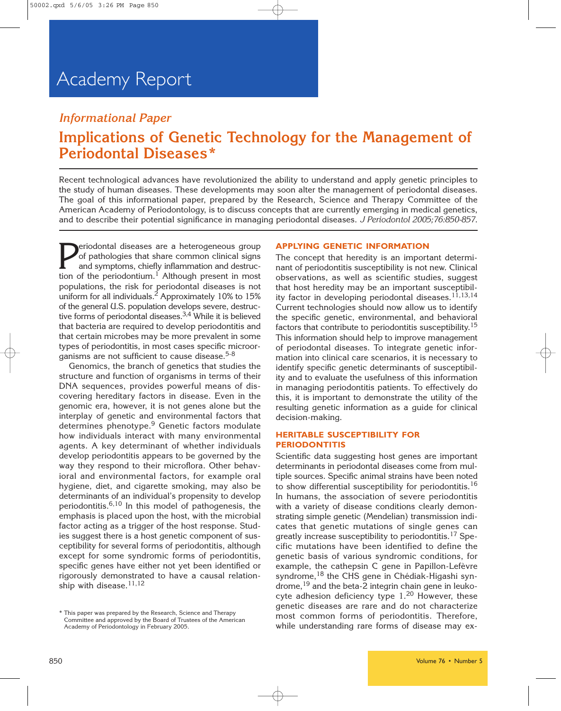## *Informational Paper*

## **Implications of Genetic Technology for the Management of Periodontal Diseases\***

Recent technological advances have revolutionized the ability to understand and apply genetic principles to the study of human diseases. These developments may soon alter the management of periodontal diseases. The goal of this informational paper, prepared by the Research, Science and Therapy Committee of the American Academy of Periodontology, is to discuss concepts that are currently emerging in medical genetics, and to describe their potential significance in managing periodontal diseases. *J Periodontol 2005;76:850-857*.

eriodontal diseases are a heterogeneous group of pathologies that share common clinical signs and symptoms, chiefly inflammation and destruction of the periodontium.<sup>1</sup> Although present in most populations, the risk for periodontal diseases is not uniform for all individuals.<sup>2</sup> Approximately 10% to 15% of the general U.S. population develops severe, destructive forms of periodontal diseases.3,4 While it is believed that bacteria are required to develop periodontitis and that certain microbes may be more prevalent in some types of periodontitis, in most cases specific microorganisms are not sufficient to cause disease.<sup>5-8</sup>

Genomics, the branch of genetics that studies the structure and function of organisms in terms of their DNA sequences, provides powerful means of discovering hereditary factors in disease. Even in the genomic era, however, it is not genes alone but the interplay of genetic and environmental factors that determines phenotype.<sup>9</sup> Genetic factors modulate how individuals interact with many environmental agents. A key determinant of whether individuals develop periodontitis appears to be governed by the way they respond to their microflora. Other behavioral and environmental factors, for example oral hygiene, diet, and cigarette smoking, may also be determinants of an individual's propensity to develop periodontitis.<sup>6,10</sup> In this model of pathogenesis, the emphasis is placed upon the host, with the microbial factor acting as a trigger of the host response. Studies suggest there is a host genetic component of susceptibility for several forms of periodontitis, although except for some syndromic forms of periodontitis, specific genes have either not yet been identified or rigorously demonstrated to have a causal relationship with disease. $11,12$ 

### **APPLYING GENETIC INFORMATION**

The concept that heredity is an important determinant of periodontitis susceptibility is not new. Clinical observations, as well as scientific studies, suggest that host heredity may be an important susceptibility factor in developing periodontal diseases.<sup>11,13,14</sup> Current technologies should now allow us to identify the specific genetic, environmental, and behavioral factors that contribute to periodontitis susceptibility.15 This information should help to improve management of periodontal diseases. To integrate genetic information into clinical care scenarios, it is necessary to identify specific genetic determinants of susceptibility and to evaluate the usefulness of this information in managing periodontitis patients. To effectively do this, it is important to demonstrate the utility of the resulting genetic information as a guide for clinical decision-making.

## **HERITABLE SUSCEPTIBILITY FOR PERIODONTITIS**

Scientific data suggesting host genes are important determinants in periodontal diseases come from multiple sources. Specific animal strains have been noted to show differential susceptibility for periodontitis.<sup>16</sup> In humans, the association of severe periodontitis with a variety of disease conditions clearly demonstrating simple genetic (Mendelian) transmission indicates that genetic mutations of single genes can greatly increase susceptibility to periodontitis.17 Specific mutations have been identified to define the genetic basis of various syndromic conditions, for example, the cathepsin C gene in Papillon-Lefèvre syndrome, $18$  the CHS gene in Chédiak-Higashi syndrome,19 and the beta-2 integrin chain gene in leukocyte adhesion deficiency type  $1<sup>20</sup>$  However, these genetic diseases are rare and do not characterize most common forms of periodontitis. Therefore, while understanding rare forms of disease may ex-

<sup>\*</sup> This paper was prepared by the Research, Science and Therapy Committee and approved by the Board of Trustees of the American Academy of Periodontology in February 2005.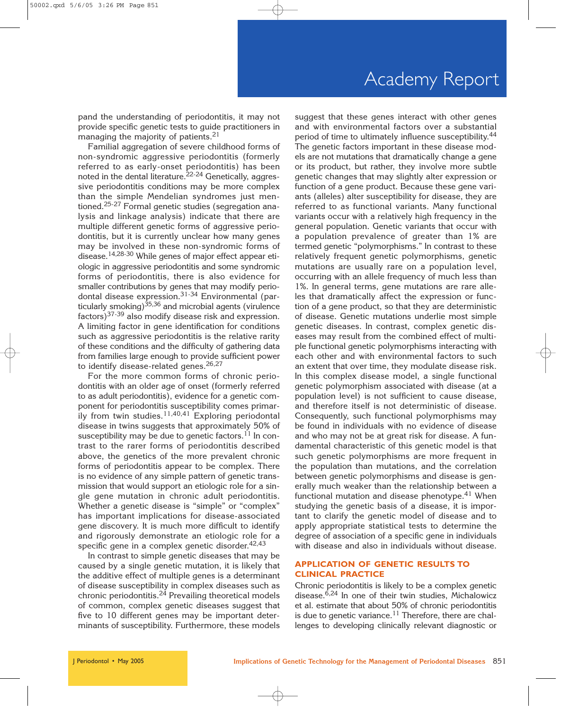pand the understanding of periodontitis, it may not provide specific genetic tests to guide practitioners in managing the majority of patients. $21$ 

Familial aggregation of severe childhood forms of non-syndromic aggressive periodontitis (formerly referred to as early-onset periodontitis) has been noted in the dental literature.<sup>22-24</sup> Genetically, aggressive periodontitis conditions may be more complex than the simple Mendelian syndromes just mentioned.<sup>25-27</sup> Formal genetic studies (segregation analysis and linkage analysis) indicate that there are multiple different genetic forms of aggressive periodontitis, but it is currently unclear how many genes may be involved in these non-syndromic forms of disease.<sup>14,28-30</sup> While genes of major effect appear etiologic in aggressive periodontitis and some syndromic forms of periodontitis, there is also evidence for smaller contributions by genes that may modify periodontal disease expression.<sup>31-34</sup> Environmental (particularly smoking)<sup>35,36</sup> and microbial agents (virulence factors) $37-39$  also modify disease risk and expression. A limiting factor in gene identification for conditions such as aggressive periodontitis is the relative rarity of these conditions and the difficulty of gathering data from families large enough to provide sufficient power to identify disease-related genes.<sup>26,27</sup>

For the more common forms of chronic periodontitis with an older age of onset (formerly referred to as adult periodontitis), evidence for a genetic component for periodontitis susceptibility comes primarily from twin studies.<sup>11,40,41</sup> Exploring periodontal disease in twins suggests that approximately 50% of susceptibility may be due to genetic factors.<sup>11</sup> In contrast to the rarer forms of periodontitis described above, the genetics of the more prevalent chronic forms of periodontitis appear to be complex. There is no evidence of any simple pattern of genetic transmission that would support an etiologic role for a single gene mutation in chronic adult periodontitis. Whether a genetic disease is "simple" or "complex" has important implications for disease-associated gene discovery. It is much more difficult to identify and rigorously demonstrate an etiologic role for a specific gene in a complex genetic disorder.<sup>42,43</sup>

In contrast to simple genetic diseases that may be caused by a single genetic mutation, it is likely that the additive effect of multiple genes is a determinant of disease susceptibility in complex diseases such as chronic periodontitis.<sup>24</sup> Prevailing theoretical models of common, complex genetic diseases suggest that five to 10 different genes may be important determinants of susceptibility. Furthermore, these models

suggest that these genes interact with other genes and with environmental factors over a substantial period of time to ultimately influence susceptibility.<sup>44</sup> The genetic factors important in these disease models are not mutations that dramatically change a gene or its product, but rather, they involve more subtle genetic changes that may slightly alter expression or function of a gene product. Because these gene variants (alleles) alter susceptibility for disease, they are referred to as functional variants. Many functional variants occur with a relatively high frequency in the general population. Genetic variants that occur with a population prevalence of greater than 1% are termed genetic "polymorphisms." In contrast to these relatively frequent genetic polymorphisms, genetic mutations are usually rare on a population level, occurring with an allele frequency of much less than 1%. In general terms, gene mutations are rare alleles that dramatically affect the expression or function of a gene product, so that they are deterministic of disease. Genetic mutations underlie most simple genetic diseases. In contrast, complex genetic diseases may result from the combined effect of multiple functional genetic polymorphisms interacting with each other and with environmental factors to such an extent that over time, they modulate disease risk. In this complex disease model, a single functional genetic polymorphism associated with disease (at a population level) is not sufficient to cause disease, and therefore itself is not deterministic of disease. Consequently, such functional polymorphisms may be found in individuals with no evidence of disease and who may not be at great risk for disease. A fundamental characteristic of this genetic model is that such genetic polymorphisms are more frequent in the population than mutations, and the correlation between genetic polymorphisms and disease is generally much weaker than the relationship between a functional mutation and disease phenotype. $41$  When studying the genetic basis of a disease, it is important to clarify the genetic model of disease and to apply appropriate statistical tests to determine the degree of association of a specific gene in individuals with disease and also in individuals without disease.

## **APPLICATION OF GENETIC RESULTS TO CLINICAL PRACTICE**

Chronic periodontitis is likely to be a complex genetic disease.6,24 In one of their twin studies, Michalowicz et al. estimate that about 50% of chronic periodontitis is due to genetic variance.<sup>11</sup> Therefore, there are challenges to developing clinically relevant diagnostic or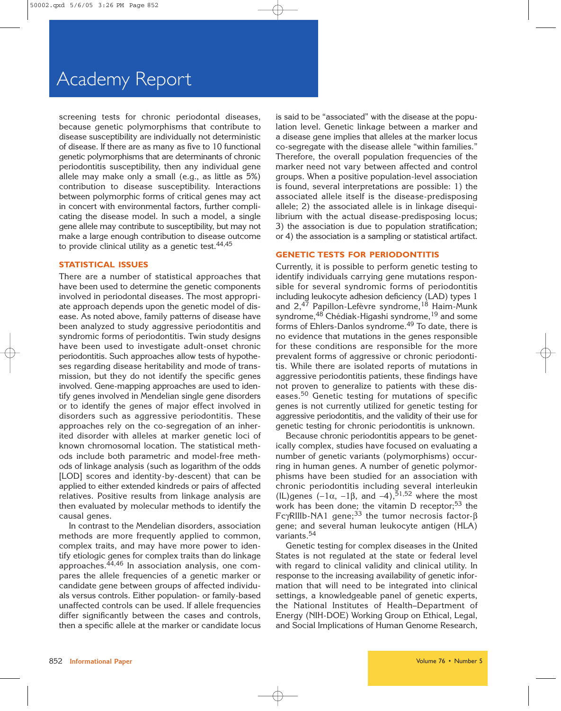screening tests for chronic periodontal diseases, because genetic polymorphisms that contribute to disease susceptibility are individually not deterministic of disease. If there are as many as five to 10 functional genetic polymorphisms that are determinants of chronic periodontitis susceptibility, then any individual gene allele may make only a small (e.g., as little as 5%) contribution to disease susceptibility. Interactions between polymorphic forms of critical genes may act in concert with environmental factors, further complicating the disease model. In such a model, a single gene allele may contribute to susceptibility, but may not make a large enough contribution to disease outcome to provide clinical utility as a genetic test.<sup>44,45</sup>

### **STATISTICAL ISSUES**

There are a number of statistical approaches that have been used to determine the genetic components involved in periodontal diseases. The most appropriate approach depends upon the genetic model of disease. As noted above, family patterns of disease have been analyzed to study aggressive periodontitis and syndromic forms of periodontitis. Twin study designs have been used to investigate adult-onset chronic periodontitis. Such approaches allow tests of hypotheses regarding disease heritability and mode of transmission, but they do not identify the specific genes involved. Gene-mapping approaches are used to identify genes involved in Mendelian single gene disorders or to identify the genes of major effect involved in disorders such as aggressive periodontitis. These approaches rely on the co-segregation of an inherited disorder with alleles at marker genetic loci of known chromosomal location. The statistical methods include both parametric and model-free methods of linkage analysis (such as logarithm of the odds [LOD] scores and identity-by-descent) that can be applied to either extended kindreds or pairs of affected relatives. Positive results from linkage analysis are then evaluated by molecular methods to identify the causal genes.

In contrast to the Mendelian disorders, association methods are more frequently applied to common, complex traits, and may have more power to identify etiologic genes for complex traits than do linkage approaches.44,46 In association analysis, one compares the allele frequencies of a genetic marker or candidate gene between groups of affected individuals versus controls. Either population- or family-based unaffected controls can be used. If allele frequencies differ significantly between the cases and controls, then a specific allele at the marker or candidate locus

is said to be "associated" with the disease at the population level. Genetic linkage between a marker and a disease gene implies that alleles at the marker locus co-segregate with the disease allele "within families." Therefore, the overall population frequencies of the marker need not vary between affected and control groups. When a positive population-level association is found, several interpretations are possible: 1) the associated allele itself is the disease-predisposing allele; 2) the associated allele is in linkage disequilibrium with the actual disease-predisposing locus; 3) the association is due to population stratification; or 4) the association is a sampling or statistical artifact.

## **GENETIC TESTS FOR PERIODONTITIS**

Currently, it is possible to perform genetic testing to identify individuals carrying gene mutations responsible for several syndromic forms of periodontitis including leukocyte adhesion deficiency (LAD) types 1 and 2,47 Papillon-Lefèvre syndrome, <sup>18</sup> Haim-Munk syndrome,<sup>48</sup> Chédiak-Higashi syndrome,<sup>19</sup> and some forms of Ehlers-Danlos syndrome.49 To date, there is no evidence that mutations in the genes responsible for these conditions are responsible for the more prevalent forms of aggressive or chronic periodontitis. While there are isolated reports of mutations in aggressive periodontitis patients, these findings have not proven to generalize to patients with these diseases.<sup>50</sup> Genetic testing for mutations of specific genes is not currently utilized for genetic testing for aggressive periodontitis, and the validity of their use for genetic testing for chronic periodontitis is unknown.

Because chronic periodontitis appears to be genetically complex, studies have focused on evaluating a number of genetic variants (polymorphisms) occurring in human genes. A number of genetic polymorphisms have been studied for an association with chronic periodontitis including several interleukin (IL)genes (-1 $\alpha$ , -1 $\beta$ , and -4),<sup>51,52</sup> where the most work has been done; the vitamin D receptor; $53$  the FcγRIIIb-NA1 gene;<sup>33</sup> the tumor necrosis factor-β gene; and several human leukocyte antigen (HLA) variants.<sup>54</sup>

Genetic testing for complex diseases in the United States is not regulated at the state or federal level with regard to clinical validity and clinical utility. In response to the increasing availability of genetic information that will need to be integrated into clinical settings, a knowledgeable panel of genetic experts, the National Institutes of Health–Department of Energy (NIH-DOE) Working Group on Ethical, Legal, and Social Implications of Human Genome Research,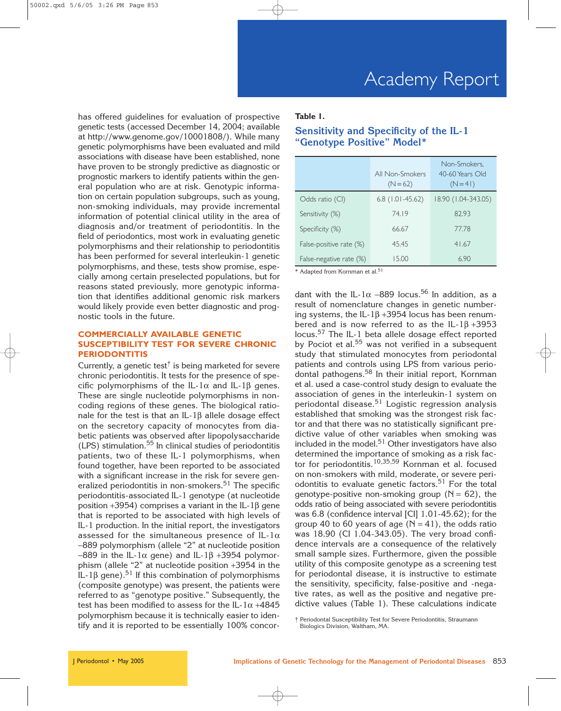has offered guidelines for evaluation of prospective genetic tests (accessed December 14, 2004; available at http://www.genome.gov/10001808/). While many genetic polymorphisms have been evaluated and mild associations with disease have been established, none have proven to be strongly predictive as diagnostic or prognostic markers to identify patients within the general population who are at risk. Genotypic information on certain population subgroups, such as young, non-smoking individuals, may provide incremental information of potential clinical utility in the area of diagnosis and/or treatment of periodontitis. In the field of periodontics, most work in evaluating genetic polymorphisms and their relationship to periodontitis has been performed for several interleukin-1 genetic polymorphisms, and these, tests show promise, especially among certain preselected populations, but for reasons stated previously, more genotypic information that identifies additional genomic risk markers would likely provide even better diagnostic and prognostic tools in the future.

## **COMMERCIALLY AVAILABLE GENETIC SUSCEPTIBILITY TEST FOR SEVERE CHRONIC PERIODONTITIS**

Currently, a genetic test<sup> $\dagger$ </sup> is being marketed for severe chronic periodontitis. It tests for the presence of specific polymorphisms of the IL-1 $\alpha$  and IL-1 $\beta$  genes. These are single nucleotide polymorphisms in noncoding regions of these genes. The biological rationale for the test is that an IL-1β allele dosage effect on the secretory capacity of monocytes from diabetic patients was observed after lipopolysaccharide (LPS) stimulation.<sup>55</sup> In clinical studies of periodontitis patients, two of these IL-1 polymorphisms, when found together, have been reported to be associated with a significant increase in the risk for severe generalized periodontitis in non-smokers.<sup>51</sup> The specific periodontitis-associated IL-1 genotype (at nucleotide position +3954) comprises a variant in the IL-1β gene that is reported to be associated with high levels of IL-1 production. In the initial report, the investigators assessed for the simultaneous presence of IL-1 $\alpha$ −889 polymorphism (allele "2" at nucleotide position  $-889$  in the IL-1 $\alpha$  gene) and IL-1 $\beta$  +3954 polymorphism (allele "2" at nucleotide position +3954 in the IL-1β gene).<sup>51</sup> If this combination of polymorphisms (composite genotype) was present, the patients were referred to as "genotype positive." Subsequently, the test has been modified to assess for the IL-1 $\alpha$  +4845 polymorphism because it is technically easier to identify and it is reported to be essentially 100% concor-

## **Table 1.**

## **Sensitivity and Specificity of the IL-1 "Genotype Positive" Model\***

|                         | All Non-Smokers<br>$(N = 62)$ | Non-Smokers,<br>$40-60$ Years Old<br>$(N = 41)$ |
|-------------------------|-------------------------------|-------------------------------------------------|
| Odds ratio (CI)         | $6.8$ (1.01-45.62)            | 18.90 (1.04-343.05)                             |
| Sensitivity (%)         | 74.19                         | 82.93                                           |
| Specificity (%)         | 66.67                         | 77.78                                           |
| False-positive rate (%) | 45.45                         | 41.67                                           |
| False-negative rate (%) | 15.00                         | 6.90                                            |

\* Adapted from Kornman et al.<sup>51</sup>

dant with the IL-1 $\alpha$  -889 locus.<sup>56</sup> In addition, as a result of nomenclature changes in genetic numbering systems, the IL-1 $\beta$  +3954 locus has been renumbered and is now referred to as the IL-1 $\beta$ +3953 locus.<sup>57</sup> The IL-1 beta allele dosage effect reported by Pociot et al.<sup>55</sup> was not verified in a subsequent study that stimulated monocytes from periodontal patients and controls using LPS from various periodontal pathogens.<sup>58</sup> In their initial report, Kornman et al. used a case-control study design to evaluate the association of genes in the interleukin-1 system on periodontal disease.<sup>51</sup> Logistic regression analysis established that smoking was the strongest risk factor and that there was no statistically significant predictive value of other variables when smoking was included in the model. $51$  Other investigators have also determined the importance of smoking as a risk factor for periodontitis.<sup>10,35,59</sup> Kornman et al. focused on non-smokers with mild, moderate, or severe periodontitis to evaluate genetic factors.<sup>51</sup> For the total genotype-positive non-smoking group  $(N = 62)$ , the odds ratio of being associated with severe periodontitis was 6.8 (confidence interval [CI] 1.01-45.62); for the group 40 to 60 years of age  $(N = 41)$ , the odds ratio was 18.90 (CI 1.04-343.05). The very broad confidence intervals are a consequence of the relatively small sample sizes. Furthermore, given the possible utility of this composite genotype as a screening test for periodontal disease, it is instructive to estimate the sensitivity, specificity, false-positive and -negative rates, as well as the positive and negative predictive values (Table 1). These calculations indicate

† Periodontal Susceptibility Test for Severe Periodontitis, Straumann Biologics Division, Waltham, MA.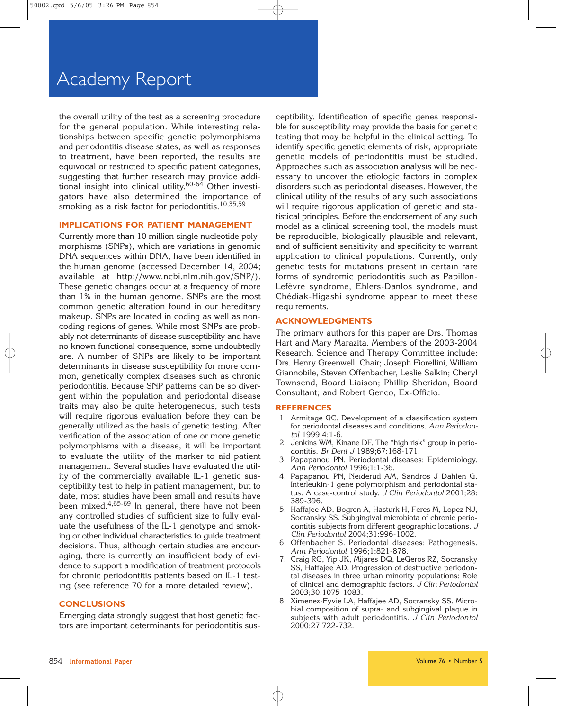the overall utility of the test as a screening procedure for the general population. While interesting relationships between specific genetic polymorphisms and periodontitis disease states, as well as responses to treatment, have been reported, the results are equivocal or restricted to specific patient categories, suggesting that further research may provide additional insight into clinical utility.60-64 Other investigators have also determined the importance of smoking as a risk factor for periodontitis.<sup>10,35,59</sup>

## **IMPLICATIONS FOR PATIENT MANAGEMENT**

Currently more than 10 million single nucleotide polymorphisms (SNPs), which are variations in genomic DNA sequences within DNA, have been identified in the human genome (accessed December 14, 2004; available at http://www.ncbi.nlm.nih.gov/SNP/). These genetic changes occur at a frequency of more than 1% in the human genome. SNPs are the most common genetic alteration found in our hereditary makeup. SNPs are located in coding as well as noncoding regions of genes. While most SNPs are probably not determinants of disease susceptibility and have no known functional consequence, some undoubtedly are. A number of SNPs are likely to be important determinants in disease susceptibility for more common, genetically complex diseases such as chronic periodontitis. Because SNP patterns can be so divergent within the population and periodontal disease traits may also be quite heterogeneous, such tests will require rigorous evaluation before they can be generally utilized as the basis of genetic testing. After verification of the association of one or more genetic polymorphisms with a disease, it will be important to evaluate the utility of the marker to aid patient management. Several studies have evaluated the utility of the commercially available IL-1 genetic susceptibility test to help in patient management, but to date, most studies have been small and results have been mixed.<sup>4,65-69</sup> In general, there have not been any controlled studies of sufficient size to fully evaluate the usefulness of the IL-1 genotype and smoking or other individual characteristics to guide treatment decisions. Thus, although certain studies are encouraging, there is currently an insufficient body of evidence to support a modification of treatment protocols for chronic periodontitis patients based on IL-1 testing (see reference 70 for a more detailed review).

## **CONCLUSIONS**

Emerging data strongly suggest that host genetic factors are important determinants for periodontitis susceptibility. Identification of specific genes responsible for susceptibility may provide the basis for genetic testing that may be helpful in the clinical setting. To identify specific genetic elements of risk, appropriate genetic models of periodontitis must be studied. Approaches such as association analysis will be necessary to uncover the etiologic factors in complex disorders such as periodontal diseases. However, the clinical utility of the results of any such associations will require rigorous application of genetic and statistical principles. Before the endorsement of any such model as a clinical screening tool, the models must be reproducible, biologically plausible and relevant, and of sufficient sensitivity and specificity to warrant application to clinical populations. Currently, only genetic tests for mutations present in certain rare forms of syndromic periodontitis such as Papillon-Lefèvre syndrome, Ehlers-Danlos syndrome, and Chédiak-Higashi syndrome appear to meet these requirements.

### **ACKNOWLEDGMENTS**

The primary authors for this paper are Drs. Thomas Hart and Mary Marazita. Members of the 2003-2004 Research, Science and Therapy Committee include: Drs. Henry Greenwell, Chair; Joseph Fiorellini, William Giannobile, Steven Offenbacher, Leslie Salkin; Cheryl Townsend, Board Liaison; Phillip Sheridan, Board Consultant; and Robert Genco, Ex-Officio.

#### **REFERENCES**

- 1. Armitage GC. Development of a classification system for periodontal diseases and conditions. *Ann Periodontol* 1999;4:1-6.
- 2. Jenkins WM, Kinane DF. The "high risk" group in periodontitis. *Br Dent J* 1989;67:168-171.
- 3. Papapanou PN. Periodontal diseases: Epidemiology. *Ann Periodontol* 1996;1:1-36.
- 4. Papapanou PN, Neiderud AM, Sandros J Dahlen G. Interleukin-1 gene polymorphism and periodontal status. A case-control study. *J Clin Periodontol* 2001;28: 389-396.
- 5. Haffajee AD, Bogren A, Hasturk H, Feres M, Lopez NJ, Socransky SS. Subgingival microbiota of chronic periodontitis subjects from different geographic locations. *J Clin Periodontol* 2004;31:996-1002.
- 6. Offenbacher S. Periodontal diseases: Pathogenesis. *Ann Periodontol* 1996;1:821-878.
- 7. Craig RG, Yip JK, Mijares DQ, LeGeros RZ, Socransky SS, Haffajee AD. Progression of destructive periodontal diseases in three urban minority populations: Role of clinical and demographic factors. *J Clin Periodontol* 2003;30:1075-1083.
- 8. Ximenez-Fyvie LA, Haffajee AD, Socransky SS. Microbial composition of supra- and subgingival plaque in subjects with adult periodontitis. *J Clin Periodontol* 2000;27:722-732.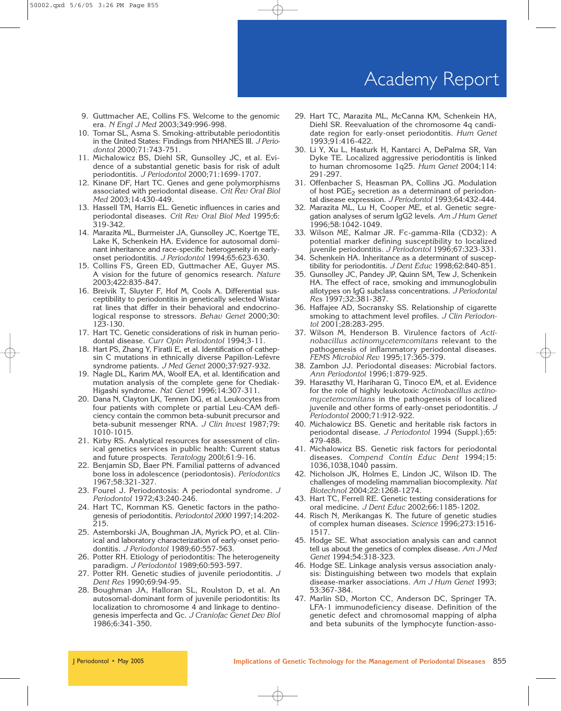- 9. Guttmacher AE, Collins FS. Welcome to the genomic era. *N Engl J Med* 2003;349:996-998.
- 10. Tomar SL, Asma S. Smoking-attributable periodontitis in the United States: Findings from NHANES III. *J Periodontol* 2000;71:743-751.
- 11. Michalowicz BS, Diehl SR, Gunsolley JC, et al. Evidence of a substantial genetic basis for risk of adult periodontitis. *J Periodontol* 2000;71:1699-1707.
- 12. Kinane DF, Hart TC. Genes and gene polymorphisms associated with periodontal disease. *Crit Rev Oral Biol Med* 2003;14:430-449.
- 13. Hassell TM, Harris EL. Genetic influences in caries and periodontal diseases. *Crit Rev Oral Biol Med* 1995;6: 319-342.
- 14. Marazita ML, Burmeister JA, Gunsolley JC, Koertge TE, Lake K, Schenkein HA. Evidence for autosomal dominant inheritance and race-specific heterogeneity in earlyonset periodontitis. *J Periodontol* 1994;65:623-630.
- 15. Collins FS, Green ED, Guttmacher AE, Guyer MS. A vision for the future of genomics research. *Nature* 2003;422:835-847.
- 16. Breivik T, Sluyter F, Hof M, Cools A. Differential susceptibility to periodontitis in genetically selected Wistar rat lines that differ in their behavioral and endocrinological response to stressors. *Behav Genet* 2000;30: 123-130.
- 17. Hart TC. Genetic considerations of risk in human periodontal disease. *Curr Opin Periodontol* 1994;3-11.
- 18. Hart PS, Zhang Y, Firatli E, et al. Identification of cathepsin C mutations in ethnically diverse Papillon-Lefèvre syndrome patients. *J Med Genet* 2000;37:927-932.
- 19. Nagle DL, Karim MA, Woolf EA, et al. Identification and mutation analysis of the complete gene for Chediak-Higashi syndrome. *Nat Genet* 1996;14:307-311.
- 20. Dana N, Clayton LK, Tennen DG, et al. Leukocytes from four patients with complete or partial Leu-CAM deficiency contain the common beta-subunit precursor and beta-subunit messenger RNA. *J Clin Invest* 1987;79: 1010-1015.
- 21. Kirby RS. Analytical resources for assessment of clinical genetics services in public health: Current status and future prospects. *Teratology* 200l;61:9-16.
- 22. Benjamin SD, Baer PN. Familial patterns of advanced bone loss in adolescence (periodontosis). *Periodontics* 1967;58:321-327.
- 23. Fourel J. Periodontosis: A periodontal syndrome. *J Periodontol* 1972;43:240-246.
- 24. Hart TC, Kornman KS. Genetic factors in the pathogenesis of periodontitis. *Periodontol 2000* 1997;14:202- 215.
- 25. Astemborski JA, Boughman JA, Myrick PO, et al. Clinical and laboratory characterization of early-onset periodontitis. *J Periodontol* 1989;60:557-563.
- 26. Potter RH. Etiology of periodontitis: The heterogeneity paradigm. *J Periodontol* 1989;60:593-597.
- 27. Potter RH. Genetic studies of juvenile periodontitis. *J Dent Res* 1990;69:94-95.
- 28. Boughman JA, Halloran SL, Roulston D, et al. An autosomal-dominant form of juvenile periodontitis: Its localization to chromosome 4 and linkage to dentinogenesis imperfecta and Gc. *J Craniofac Genet Dev Biol* 1986;6:341-350.
- 29. Hart TC, Marazita ML, McCanna KM, Schenkein HA, Diehl SR. Reevaluation of the chromosome 4q candidate region for early-onset periodontitis. *Hum Genet* 1993;91:416-422.
- 30. Li Y, Xu L, Hasturk H, Kantarci A, DePalma SR, Van Dyke TE. Localized aggressive periodontitis is linked to human chromosome 1q25. *Hum Genet* 2004;114: 291-297.
- 31. Offenbacher S, Heasman PA, Collins JG. Modulation of host  $PGE<sub>2</sub>$  secretion as a determinant of periodontal disease expression. *J Periodontol* 1993;64:432-444.
- 32. Marazita ML, Lu H, Cooper ME, et al. Genetic segregation analyses of serum IgG2 levels. *Am J Hum Genet* 1996;58:1042-1049.
- 33. Wilson ME, Kalmar JR. Fc-gamma-RIIa (CD32): A potential marker defining susceptibility to localized juvenile periodontitis. *J Periodontol* 1996;67:323-331.
- 34. Schenkein HA. Inheritance as a determinant of susceptibility for periodontitis. *J Dent Educ* 1998;62:840-851.
- 35. Gunsolley JC, Pandey JP, Quinn SM, Tew J, Schenkein HA. The effect of race, smoking and immunoglobulin allotypes on IgG subclass concentrations. *J Periodontal Res* 1997;32:381-387.
- 36. Haffajee AD, Socransky SS. Relationship of cigarette smoking to attachment level profiles. *J Clin Periodontol* 2001;28:283-295.
- 37. Wilson M, Henderson B. Virulence factors of *Actinobacillus actinomycetemcomitans* relevant to the pathogenesis of inflammatory periodontal diseases. *FEMS Microbiol Rev* 1995;17:365-379.
- 38. Zambon JJ. Periodontal diseases: Microbial factors. *Ann Periodontol* 1996;1:879-925.
- 39. Haraszthy VI, Hariharan G, Tinoco EM, et al. Evidence for the role of highly leukotoxic *Actinobacillus actinomycetemcomitans* in the pathogenesis of localized juvenile and other forms of early-onset periodontitis. *J Periodontol* 2000;71:912-922.
- 40. Michalowicz BS. Genetic and heritable risk factors in periodontal disease. *J Periodontol* 1994 (Suppl.);65: 479-488.
- 41. Michalowicz BS. Genetic risk factors for periodontal diseases. *Compend Contin Educ Dent* 1994;15: 1036,1038,1040 passim.
- 42. Nicholson JK, Holmes E, Lindon JC, Wilson ID. The challenges of modeling mammalian biocomplexity. *Nat Biotechnol* 2004;22:1268-1274.
- 43. Hart TC, Ferrell RE. Genetic testing considerations for oral medicine. *J Dent Educ* 2002;66:1185-1202.
- 44. Risch N, Merikangas K. The future of genetic studies of complex human diseases. *Science* 1996;273:1516- 1517.
- 45. Hodge SE. What association analysis can and cannot tell us about the genetics of complex disease. *Am J Med Genet* 1994;54:318-323.
- 46. Hodge SE. Linkage analysis versus association analysis: Distinguishing between two models that explain disease-marker associations. *Am J Hum Genet* 1993; 53:367-384.
- 47. Marlin SD, Morton CC, Anderson DC, Springer TA. LFA-1 immunodeficiency disease. Definition of the genetic defect and chromosomal mapping of alpha and beta subunits of the lymphocyte function-asso-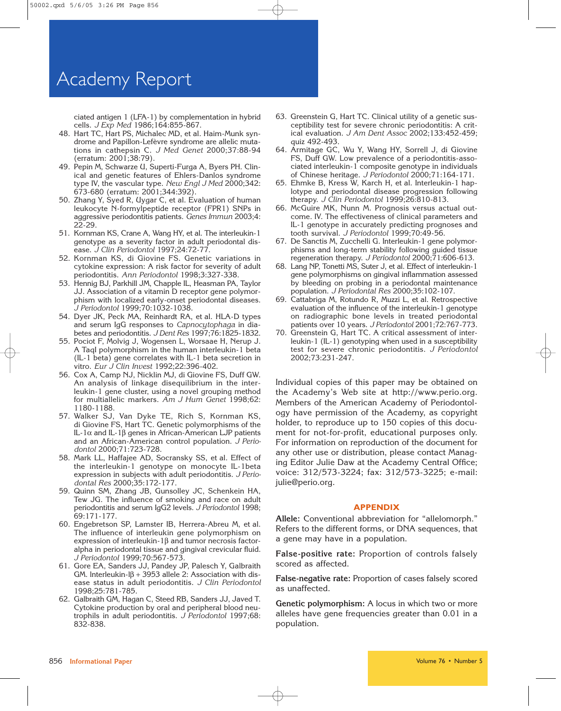ciated antigen 1 (LFA-1) by complementation in hybrid cells. *J Exp Med* 1986;164:855-867.

- 48. Hart TC, Hart PS, Michalec MD, et al. Haim-Munk syndrome and Papillon-Lefèvre syndrome are allelic mutations in cathepsin C. *J Med Genet* 2000;37:88-94 (erratum: 2001;38:79).
- 49. Pepin M, Schwarze U, Superti-Furga A, Byers PH. Clinical and genetic features of Ehlers-Danlos syndrome type IV, the vascular type. *New Engl J Med* 2000;342: 673-680 (erratum: 2001;344:392).
- 50. Zhang Y, Syed R, Uygar C, et al. Evaluation of human leukocyte N-formylpeptide receptor (FPR1) SNPs in aggressive periodontitis patients. *Genes Immun* 2003;4: 22-29.
- 51. Kornman KS, Crane A, Wang HY, et al. The interleukin-1 genotype as a severity factor in adult periodontal disease. *J Clin Periodontol* 1997;24:72-77.
- 52. Kornman KS, di Giovine FS. Genetic variations in cytokine expression: A risk factor for severity of adult periodontitis. *Ann Periodontol* 1998;3:327-338.
- 53. Hennig BJ, Parkhill JM, Chapple IL, Heasman PA, Taylor JJ. Association of a vitamin D receptor gene polymorphism with localized early-onset periodontal diseases. *J Periodontol* 1999;70:1032-1038.
- 54. Dyer JK, Peck MA, Reinhardt RA, et al. HLA-D types and serum IgG responses to *Capnocytophaga* in diabetes and periodontitis. *J Dent Res* 1997;76:1825-1832.
- 55. Pociot F, Molvig J, Wogensen L, Worsaae H, Nerup J. A TaqI polymorphism in the human interleukin-1 beta (IL-1 beta) gene correlates with IL-1 beta secretion in vitro. *Eur J Clin Invest* 1992;22:396-402.
- 56. Cox A, Camp NJ, Nicklin MJ, di Giovine FS, Duff GW. An analysis of linkage disequilibrium in the interleukin-1 gene cluster, using a novel grouping method for multiallelic markers. *Am J Hum Genet* 1998;62: 1180-1188.
- 57. Walker SJ, Van Dyke TE, Rich S, Kornman KS, di Giovine FS, Hart TC. Genetic polymorphisms of the IL-1α and IL-1β genes in African-American LJP patients and an African-American control population. *J Periodontol* 2000;71:723-728.
- 58. Mark LL, Haffajee AD, Socransky SS, et al. Effect of the interleukin-1 genotype on monocyte IL-1beta expression in subjects with adult periodontitis. *J Periodontal Res* 2000;35:172-177.
- 59. Quinn SM, Zhang JB, Gunsolley JC, Schenkein HA, Tew JG. The influence of smoking and race on adult periodontitis and serum IgG2 levels. *J Periodontol* 1998; 69:171-177.
- 60. Engebretson SP, Lamster IB, Herrera-Abreu M, et al. The influence of interleukin gene polymorphism on expression of interleukin-1β and tumor necrosis factoralpha in periodontal tissue and gingival crevicular fluid. *J Periodontol* 1999;70:567-573.
- 61. Gore EA, Sanders JJ, Pandey JP, Palesch Y, Galbraith GM. Interleukin-l $\beta$  + 3953 allele 2: Association with disease status in adult periodontitis. *J Clin Periodontol* 1998;25:781-785.
- 62. Galbraith GM, Hagan C, Steed RB, Sanders JJ, Javed T. Cytokine production by oral and peripheral blood neutrophils in adult periodontitis. *J Periodontol* 1997;68: 832-838.
- 63. Greenstein G, Hart TC. Clinical utility of a genetic susceptibility test for severe chronic periodontitis: A critical evaluation. *J Am Dent Assoc* 2002;133:452-459; quiz 492-493.
- 64. Armitage GC, Wu Y, Wang HY, Sorrell J, di Giovine FS, Duff GW. Low prevalence of a periodontitis-associated interleukin-1 composite genotype in individuals of Chinese heritage. *J Periodontol* 2000;71:164-171.
- 65. Ehmke B, Kress W, Karch H, et al. Interleukin-1 haplotype and periodontal disease progression following therapy. *J Clin Periodontol* 1999;26:810-813.
- 66. McGuire MK, Nunn M. Prognosis versus actual outcome. IV. The effectiveness of clinical parameters and IL-1 genotype in accurately predicting prognoses and tooth survival. *J Periodontol* 1999;70:49-56.
- 67. De Sanctis M, Zucchelli G. Interleukin-1 gene polymorphisms and long-term stability following guided tissue regeneration therapy. *J Periodontol* 2000;71:606-613.
- 68. Lang NP, Tonetti MS, Suter J, et al. Effect of interleukin-1 gene polymorphisms on gingival inflammation assessed by bleeding on probing in a periodontal maintenance population. *J Periodontal Res* 2000;35:102-107.
- 69. Cattabriga M, Rotundo R, Muzzi L, et al. Retrospective evaluation of the influence of the interleukin-1 genotype on radiographic bone levels in treated periodontal patients over 10 years. *J Periodontol* 2001;72:767-773.
- 70. Greenstein G, Hart TC. A critical assessment of interleukin-1 (IL-1) genotyping when used in a susceptibility test for severe chronic periodontitis. *J Periodontol* 2002;73:231-247.

Individual copies of this paper may be obtained on the Academy's Web site at http://www.perio.org. Members of the American Academy of Periodontology have permission of the Academy, as copyright holder, to reproduce up to 150 copies of this document for not-for-profit, educational purposes only. For information on reproduction of the document for any other use or distribution, please contact Managing Editor Julie Daw at the Academy Central Office; voice: 312/573-3224; fax: 312/573-3225; e-mail: julie@perio.org.

#### **APPENDIX**

**Allele:** Conventional abbreviation for "allelomorph." Refers to the different forms, or DNA sequences, that a gene may have in a population.

**False-positive rate:** Proportion of controls falsely scored as affected.

**False-negative rate:** Proportion of cases falsely scored as unaffected.

**Genetic polymorphism:** A locus in which two or more alleles have gene frequencies greater than 0.01 in a population.